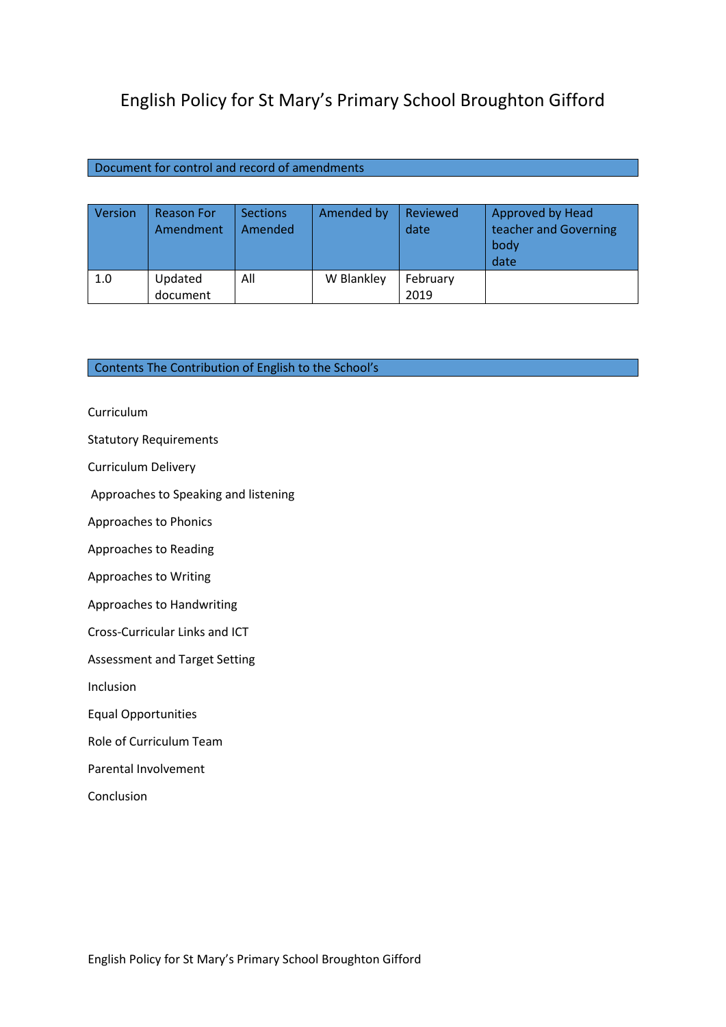# English Policy for St Mary's Primary School Broughton Gifford

# Document for control and record of amendments

| Version | <b>Reason For</b><br>Amendment | <b>Sections</b><br>Amended | Amended by | Reviewed<br>date | <b>Approved by Head</b><br>teacher and Governing<br>body<br>date |
|---------|--------------------------------|----------------------------|------------|------------------|------------------------------------------------------------------|
| 1.0     | Updated                        | All                        | W Blankley | February         |                                                                  |
|         | document                       |                            |            | 2019             |                                                                  |

# Contents The Contribution of English to the School's

Curriculum

Statutory Requirements

Curriculum Delivery

Approaches to Speaking and listening

Approaches to Phonics

Approaches to Reading

Approaches to Writing

Approaches to Handwriting

Cross-Curricular Links and ICT

Assessment and Target Setting

Inclusion

Equal Opportunities

Role of Curriculum Team

Parental Involvement

Conclusion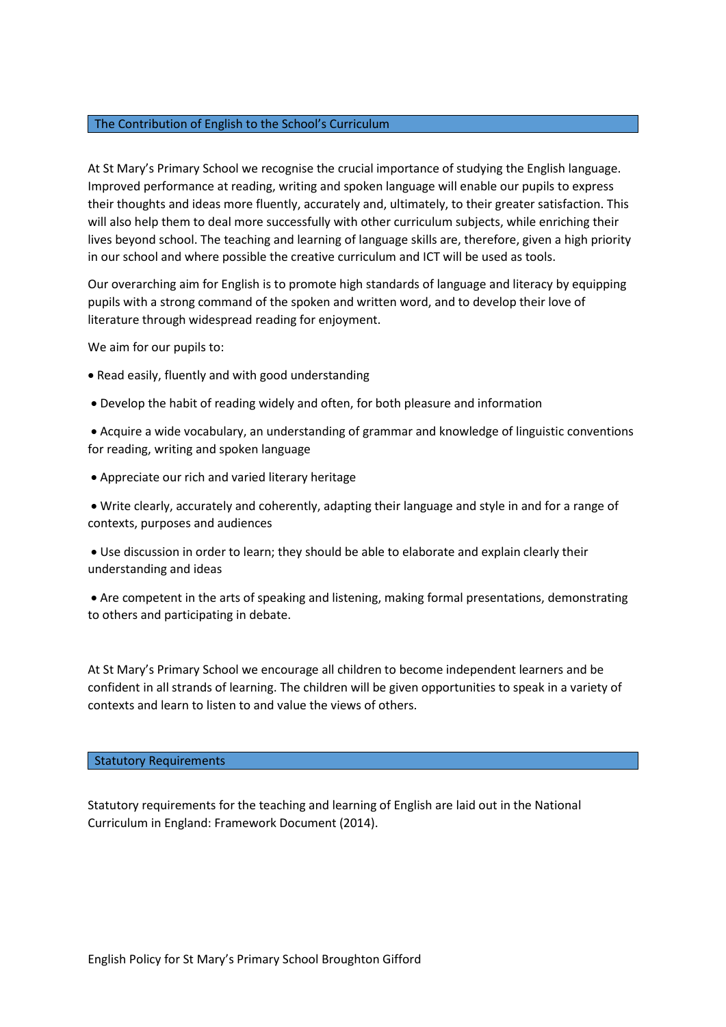# The Contribution of English to the School's Curriculum

At St Mary's Primary School we recognise the crucial importance of studying the English language. Improved performance at reading, writing and spoken language will enable our pupils to express their thoughts and ideas more fluently, accurately and, ultimately, to their greater satisfaction. This will also help them to deal more successfully with other curriculum subjects, while enriching their lives beyond school. The teaching and learning of language skills are, therefore, given a high priority in our school and where possible the creative curriculum and ICT will be used as tools.

Our overarching aim for English is to promote high standards of language and literacy by equipping pupils with a strong command of the spoken and written word, and to develop their love of literature through widespread reading for enjoyment.

We aim for our pupils to:

- Read easily, fluently and with good understanding
- Develop the habit of reading widely and often, for both pleasure and information

• Acquire a wide vocabulary, an understanding of grammar and knowledge of linguistic conventions for reading, writing and spoken language

• Appreciate our rich and varied literary heritage

• Write clearly, accurately and coherently, adapting their language and style in and for a range of contexts, purposes and audiences

• Use discussion in order to learn; they should be able to elaborate and explain clearly their understanding and ideas

• Are competent in the arts of speaking and listening, making formal presentations, demonstrating to others and participating in debate.

At St Mary's Primary School we encourage all children to become independent learners and be confident in all strands of learning. The children will be given opportunities to speak in a variety of contexts and learn to listen to and value the views of others.

## Statutory Requirements

Statutory requirements for the teaching and learning of English are laid out in the National Curriculum in England: Framework Document (2014).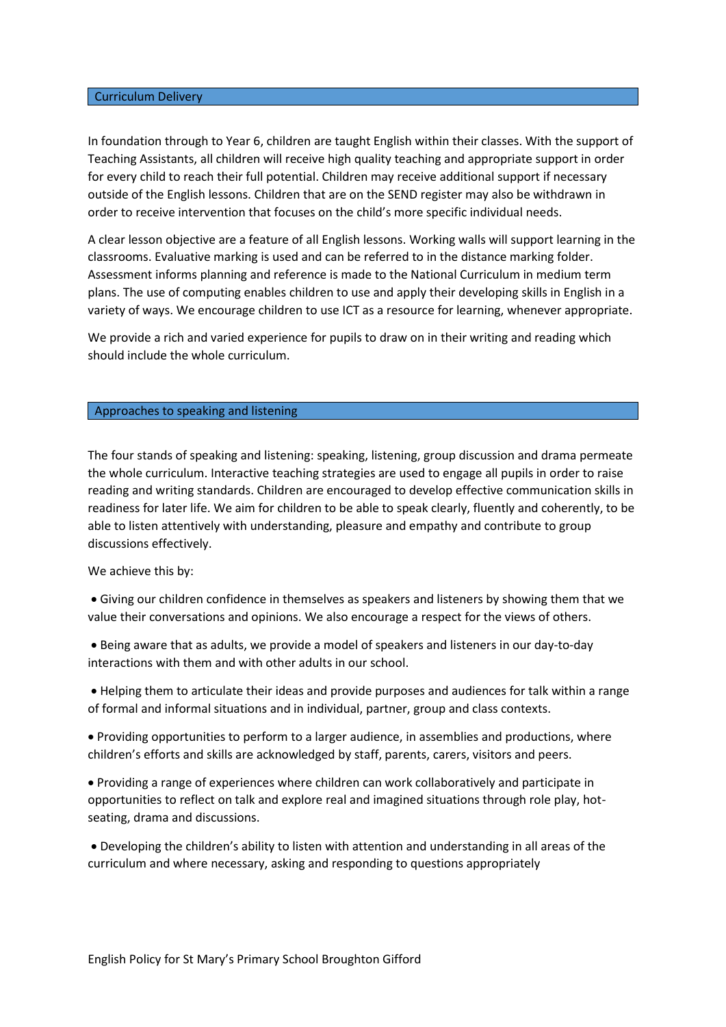## Curriculum Delivery

In foundation through to Year 6, children are taught English within their classes. With the support of Teaching Assistants, all children will receive high quality teaching and appropriate support in order for every child to reach their full potential. Children may receive additional support if necessary outside of the English lessons. Children that are on the SEND register may also be withdrawn in order to receive intervention that focuses on the child's more specific individual needs.

A clear lesson objective are a feature of all English lessons. Working walls will support learning in the classrooms. Evaluative marking is used and can be referred to in the distance marking folder. Assessment informs planning and reference is made to the National Curriculum in medium term plans. The use of computing enables children to use and apply their developing skills in English in a variety of ways. We encourage children to use ICT as a resource for learning, whenever appropriate.

We provide a rich and varied experience for pupils to draw on in their writing and reading which should include the whole curriculum.

#### Approaches to speaking and listening

The four stands of speaking and listening: speaking, listening, group discussion and drama permeate the whole curriculum. Interactive teaching strategies are used to engage all pupils in order to raise reading and writing standards. Children are encouraged to develop effective communication skills in readiness for later life. We aim for children to be able to speak clearly, fluently and coherently, to be able to listen attentively with understanding, pleasure and empathy and contribute to group discussions effectively.

#### We achieve this by:

• Giving our children confidence in themselves as speakers and listeners by showing them that we value their conversations and opinions. We also encourage a respect for the views of others.

• Being aware that as adults, we provide a model of speakers and listeners in our day-to-day interactions with them and with other adults in our school.

• Helping them to articulate their ideas and provide purposes and audiences for talk within a range of formal and informal situations and in individual, partner, group and class contexts.

• Providing opportunities to perform to a larger audience, in assemblies and productions, where children's efforts and skills are acknowledged by staff, parents, carers, visitors and peers.

• Providing a range of experiences where children can work collaboratively and participate in opportunities to reflect on talk and explore real and imagined situations through role play, hotseating, drama and discussions.

• Developing the children's ability to listen with attention and understanding in all areas of the curriculum and where necessary, asking and responding to questions appropriately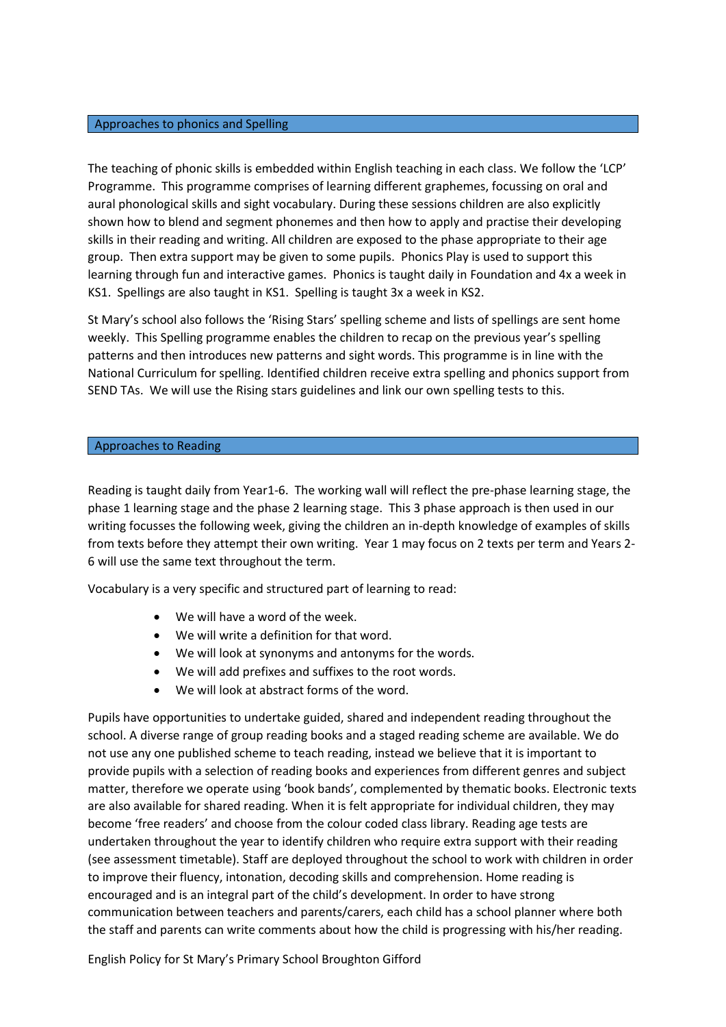## Approaches to phonics and Spelling

The teaching of phonic skills is embedded within English teaching in each class. We follow the 'LCP' Programme. This programme comprises of learning different graphemes, focussing on oral and aural phonological skills and sight vocabulary. During these sessions children are also explicitly shown how to blend and segment phonemes and then how to apply and practise their developing skills in their reading and writing. All children are exposed to the phase appropriate to their age group. Then extra support may be given to some pupils. Phonics Play is used to support this learning through fun and interactive games. Phonics is taught daily in Foundation and 4x a week in KS1. Spellings are also taught in KS1. Spelling is taught 3x a week in KS2.

St Mary's school also follows the 'Rising Stars' spelling scheme and lists of spellings are sent home weekly. This Spelling programme enables the children to recap on the previous year's spelling patterns and then introduces new patterns and sight words. This programme is in line with the National Curriculum for spelling. Identified children receive extra spelling and phonics support from SEND TAs. We will use the Rising stars guidelines and link our own spelling tests to this.

#### Approaches to Reading

Reading is taught daily from Year1-6. The working wall will reflect the pre-phase learning stage, the phase 1 learning stage and the phase 2 learning stage. This 3 phase approach is then used in our writing focusses the following week, giving the children an in-depth knowledge of examples of skills from texts before they attempt their own writing. Year 1 may focus on 2 texts per term and Years 2- 6 will use the same text throughout the term.

Vocabulary is a very specific and structured part of learning to read:

- We will have a word of the week.
- We will write a definition for that word.
- We will look at synonyms and antonyms for the words.
- We will add prefixes and suffixes to the root words.
- We will look at abstract forms of the word.

Pupils have opportunities to undertake guided, shared and independent reading throughout the school. A diverse range of group reading books and a staged reading scheme are available. We do not use any one published scheme to teach reading, instead we believe that it is important to provide pupils with a selection of reading books and experiences from different genres and subject matter, therefore we operate using 'book bands', complemented by thematic books. Electronic texts are also available for shared reading. When it is felt appropriate for individual children, they may become 'free readers' and choose from the colour coded class library. Reading age tests are undertaken throughout the year to identify children who require extra support with their reading (see assessment timetable). Staff are deployed throughout the school to work with children in order to improve their fluency, intonation, decoding skills and comprehension. Home reading is encouraged and is an integral part of the child's development. In order to have strong communication between teachers and parents/carers, each child has a school planner where both the staff and parents can write comments about how the child is progressing with his/her reading.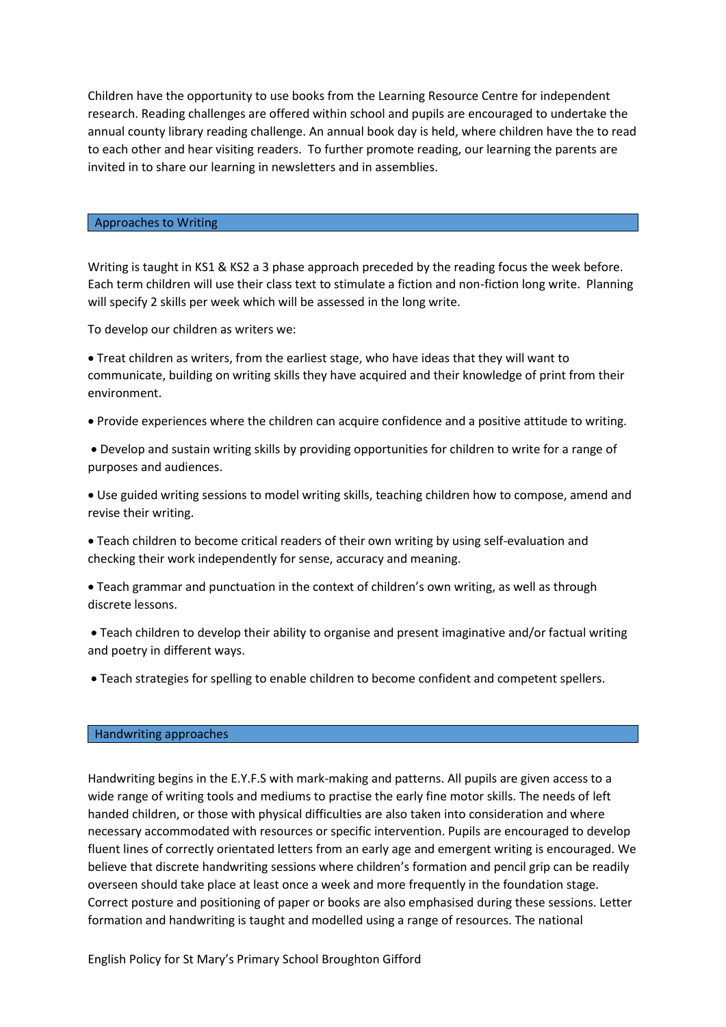Children have the opportunity to use books from the Learning Resource Centre for independent research. Reading challenges are offered within school and pupils are encouraged to undertake the annual county library reading challenge. An annual book day is held, where children have the to read to each other and hear visiting readers. To further promote reading, our learning the parents are invited in to share our learning in newsletters and in assemblies.

#### Approaches to Writing

Writing is taught in KS1 & KS2 a 3 phase approach preceded by the reading focus the week before. Each term children will use their class text to stimulate a fiction and non-fiction long write. Planning will specify 2 skills per week which will be assessed in the long write.

To develop our children as writers we:

• Treat children as writers, from the earliest stage, who have ideas that they will want to communicate, building on writing skills they have acquired and their knowledge of print from their environment.

• Provide experiences where the children can acquire confidence and a positive attitude to writing.

• Develop and sustain writing skills by providing opportunities for children to write for a range of purposes and audiences.

• Use guided writing sessions to model writing skills, teaching children how to compose, amend and revise their writing.

• Teach children to become critical readers of their own writing by using self-evaluation and checking their work independently for sense, accuracy and meaning.

• Teach grammar and punctuation in the context of children's own writing, as well as through discrete lessons.

• Teach children to develop their ability to organise and present imaginative and/or factual writing and poetry in different ways.

• Teach strategies for spelling to enable children to become confident and competent spellers.

#### Handwriting approaches

Handwriting begins in the E.Y.F.S with mark-making and patterns. All pupils are given access to a wide range of writing tools and mediums to practise the early fine motor skills. The needs of left handed children, or those with physical difficulties are also taken into consideration and where necessary accommodated with resources or specific intervention. Pupils are encouraged to develop fluent lines of correctly orientated letters from an early age and emergent writing is encouraged. We believe that discrete handwriting sessions where children's formation and pencil grip can be readily overseen should take place at least once a week and more frequently in the foundation stage. Correct posture and positioning of paper or books are also emphasised during these sessions. Letter formation and handwriting is taught and modelled using a range of resources. The national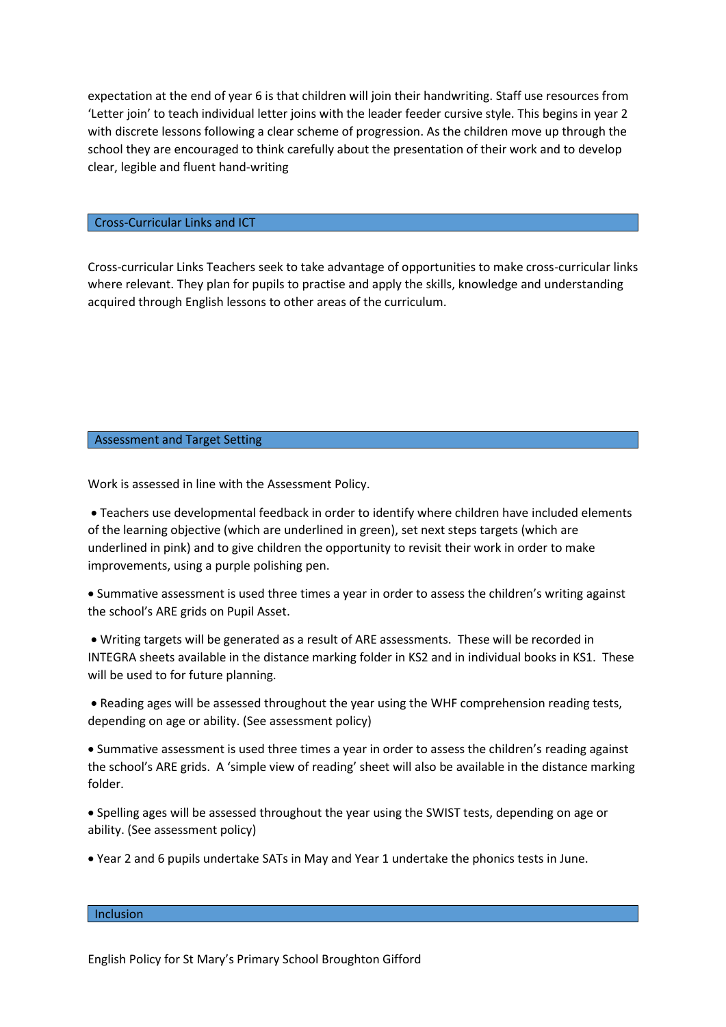expectation at the end of year 6 is that children will join their handwriting. Staff use resources from 'Letter join' to teach individual letter joins with the leader feeder cursive style. This begins in year 2 with discrete lessons following a clear scheme of progression. As the children move up through the school they are encouraged to think carefully about the presentation of their work and to develop clear, legible and fluent hand-writing

## Cross-Curricular Links and ICT

Cross-curricular Links Teachers seek to take advantage of opportunities to make cross-curricular links where relevant. They plan for pupils to practise and apply the skills, knowledge and understanding acquired through English lessons to other areas of the curriculum.

#### Assessment and Target Setting

Work is assessed in line with the Assessment Policy.

• Teachers use developmental feedback in order to identify where children have included elements of the learning objective (which are underlined in green), set next steps targets (which are underlined in pink) and to give children the opportunity to revisit their work in order to make improvements, using a purple polishing pen.

• Summative assessment is used three times a year in order to assess the children's writing against the school's ARE grids on Pupil Asset.

• Writing targets will be generated as a result of ARE assessments. These will be recorded in INTEGRA sheets available in the distance marking folder in KS2 and in individual books in KS1. These will be used to for future planning.

• Reading ages will be assessed throughout the year using the WHF comprehension reading tests, depending on age or ability. (See assessment policy)

• Summative assessment is used three times a year in order to assess the children's reading against the school's ARE grids. A 'simple view of reading' sheet will also be available in the distance marking folder.

• Spelling ages will be assessed throughout the year using the SWIST tests, depending on age or ability. (See assessment policy)

• Year 2 and 6 pupils undertake SATs in May and Year 1 undertake the phonics tests in June.

#### Inclusion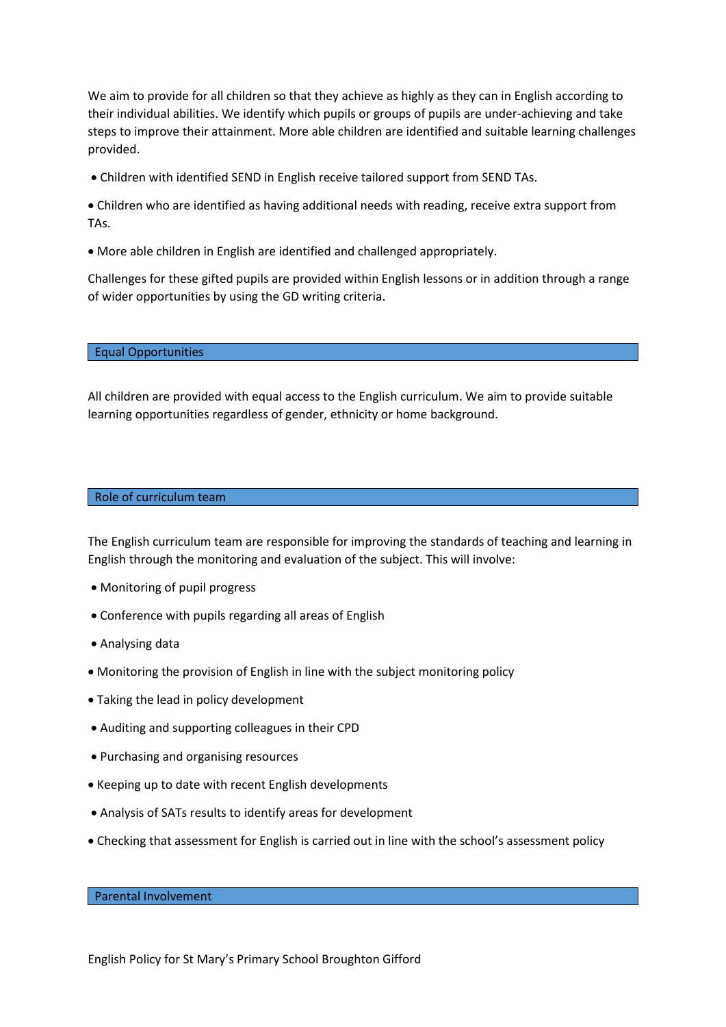We aim to provide for all children so that they achieve as highly as they can in English according to their individual abilities. We identify which pupils or groups of pupils are under-achieving and take steps to improve their attainment. More able children are identified and suitable learning challenges provided.

• Children with identified SEND in English receive tailored support from SEND TAs.

• Children who are identified as having additional needs with reading, receive extra support from TAs.

• More able children in English are identified and challenged appropriately.

Challenges for these gifted pupils are provided within English lessons or in addition through a range of wider opportunities by using the GD writing criteria.

#### Equal Opportunities

All children are provided with equal access to the English curriculum. We aim to provide suitable learning opportunities regardless of gender, ethnicity or home background.

#### Role of curriculum team

The English curriculum team are responsible for improving the standards of teaching and learning in English through the monitoring and evaluation of the subject. This will involve:

- Monitoring of pupil progress
- Conference with pupils regarding all areas of English
- Analysing data
- Monitoring the provision of English in line with the subject monitoring policy
- Taking the lead in policy development
- Auditing and supporting colleagues in their CPD
- Purchasing and organising resources
- Keeping up to date with recent English developments
- Analysis of SATs results to identify areas for development
- Checking that assessment for English is carried out in line with the school's assessment policy

#### Parental Involvement